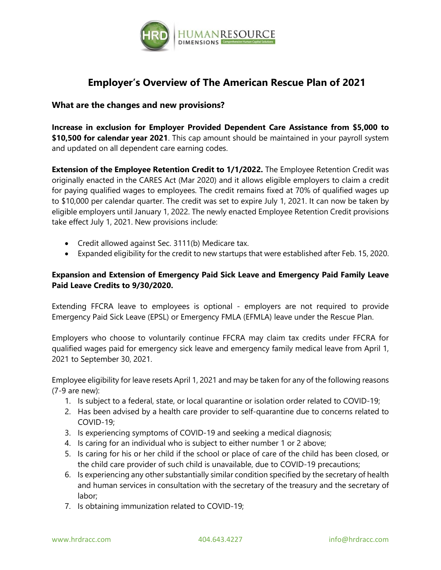

## **Employer's Overview of The American Rescue Plan of 2021**

## **What are the changes and new provisions?**

**Increase in exclusion for Employer Provided Dependent Care Assistance from \$5,000 to \$10,500 for calendar year 2021**. This cap amount should be maintained in your payroll system and updated on all dependent care earning codes.

**Extension of the Employee Retention Credit to 1/1/2022.** The Employee Retention Credit was originally enacted in the CARES Act (Mar 2020) and it allows eligible employers to claim a credit for paying qualified wages to employees. The credit remains fixed at 70% of qualified wages up to \$10,000 per calendar quarter. The credit was set to expire July 1, 2021. It can now be taken by eligible employers until January 1, 2022. The newly enacted Employee Retention Credit provisions take effect July 1, 2021. New provisions include:

- Credit allowed against Sec. 3111(b) Medicare tax.
- Expanded eligibility for the credit to new startups that were established after Feb. 15, 2020.

## **Expansion and Extension of Emergency Paid Sick Leave and Emergency Paid Family Leave Paid Leave Credits to 9/30/2020.**

Extending FFCRA leave to employees is optional - employers are not required to provide Emergency Paid Sick Leave (EPSL) or Emergency FMLA (EFMLA) leave under the Rescue Plan.

Employers who choose to voluntarily continue FFCRA may claim tax credits under FFCRA for qualified wages paid for emergency sick leave and emergency family medical leave from April 1, 2021 to September 30, 2021.

Employee eligibility for leave resets April 1, 2021 and may be taken for any of the following reasons (7-9 are new):

- 1. Is subject to a federal, state, or local quarantine or isolation order related to COVID-19;
- 2. Has been advised by a health care provider to self-quarantine due to concerns related to COVID-19;
- 3. Is experiencing symptoms of COVID-19 and seeking a medical diagnosis;
- 4. Is caring for an individual who is subject to either number 1 or 2 above;
- 5. Is caring for his or her child if the school or place of care of the child has been closed, or the child care provider of such child is unavailable, due to COVID-19 precautions;
- 6. Is experiencing any other substantially similar condition specified by the secretary of health and human services in consultation with the secretary of the treasury and the secretary of labor;
- 7. Is obtaining immunization related to COVID-19;